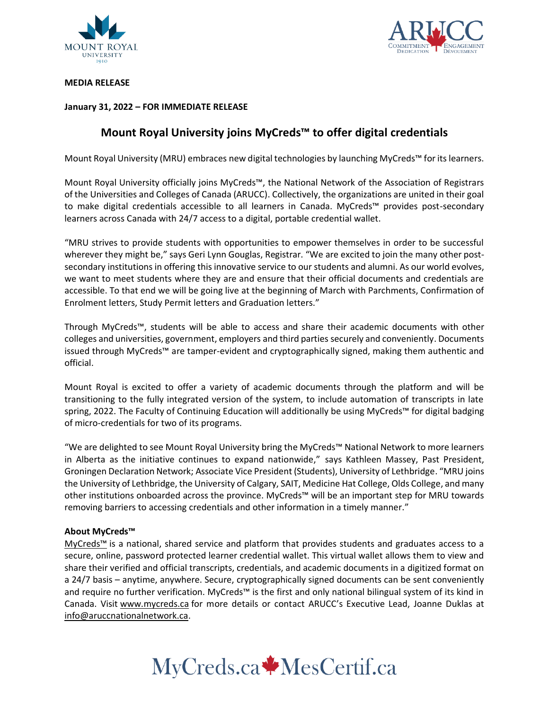



**MEDIA RELEASE**

## **January 31, 2022 – FOR IMMEDIATE RELEASE**

# **Mount Royal University joins MyCreds™ to offer digital credentials**

Mount Royal University (MRU) embraces new digital technologies by launching MyCreds™ for its learners.

Mount Royal University officially joins MyCreds™, the National Network of the Association of Registrars of the Universities and Colleges of Canada (ARUCC). Collectively, the organizations are united in their goal to make digital credentials accessible to all learners in Canada. MyCreds™ provides post-secondary learners across Canada with 24/7 access to a digital, portable credential wallet.

"MRU strives to provide students with opportunities to empower themselves in order to be successful wherever they might be," says Geri Lynn Gouglas, Registrar. "We are excited to join the many other postsecondary institutions in offering this innovative service to our students and alumni. As our world evolves, we want to meet students where they are and ensure that their official documents and credentials are accessible. To that end we will be going live at the beginning of March with Parchments, Confirmation of Enrolment letters, Study Permit letters and Graduation letters."

Through MyCreds™, students will be able to access and share their academic documents with other colleges and universities, government, employers and third parties securely and conveniently. Documents issued through MyCreds™ are tamper-evident and cryptographically signed, making them authentic and official.

Mount Royal is excited to offer a variety of academic documents through the platform and will be transitioning to the fully integrated version of the system, to include automation of transcripts in late spring, 2022. The Faculty of Continuing Education will additionally be using MyCreds™ for digital badging of micro-credentials for two of its programs.

"We are delighted to see Mount Royal University bring the MyCreds™ National Network to more learners in Alberta as the initiative continues to expand nationwide," says Kathleen Massey, Past President, Groningen Declaration Network; Associate Vice President (Students), University of Lethbridge. "MRU joins the University of Lethbridge, the University of Calgary, SAIT, Medicine Hat College, Olds College, and many other institutions onboarded across the province. MyCreds™ will be an important step for MRU towards removing barriers to accessing credentials and other information in a timely manner."

## **About MyCreds™**

[MyCreds™](https://mycreds.ca/) is a national, shared service and platform that provides students and graduates access to a secure, online, password protected learner credential wallet. This virtual wallet allows them to view and share their verified and official transcripts, credentials, and academic documents in a digitized format on a 24/7 basis – anytime, anywhere. Secure, cryptographically signed documents can be sent conveniently and require no further verification. MyCreds™ is the first and only national bilingual system of its kind in Canada. Visit [www.mycreds.ca](http://www.mycreds.ca/) for more details or contact ARUCC's Executive Lead, Joanne Duklas at [info@aruccnationalnetwork.ca.](mailto:info@aruccnationalnetwork.ca)